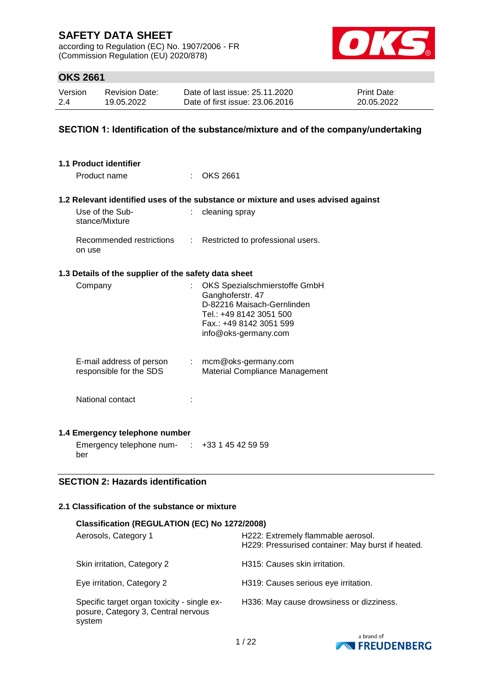according to Regulation (EC) No. 1907/2006 - FR (Commission Regulation (EU) 2020/878)



### **OKS 2661**

| Version | <b>Revision Date:</b> | Date of last issue: 25.11.2020  | <b>Print Date:</b> |
|---------|-----------------------|---------------------------------|--------------------|
| 2.4     | 19.05.2022            | Date of first issue: 23,06,2016 | 20.05.2022         |

#### **SECTION 1: Identification of the substance/mixture and of the company/undertaking**

|                                          | 1.1 Product identifier                               |                           |                                                                                                                                                               |  |
|------------------------------------------|------------------------------------------------------|---------------------------|---------------------------------------------------------------------------------------------------------------------------------------------------------------|--|
|                                          | Product name                                         | $\epsilon$                | OKS 2661                                                                                                                                                      |  |
|                                          |                                                      |                           | 1.2 Relevant identified uses of the substance or mixture and uses advised against                                                                             |  |
|                                          | Use of the Sub-<br>stance/Mixture                    | ÷                         | cleaning spray                                                                                                                                                |  |
|                                          | Recommended restrictions<br>on use                   | $\mathbb{R}^{\mathbb{Z}}$ | Restricted to professional users.                                                                                                                             |  |
|                                          | 1.3 Details of the supplier of the safety data sheet |                           |                                                                                                                                                               |  |
|                                          | Company                                              |                           | OKS Spezialschmierstoffe GmbH<br>Ganghoferstr. 47<br>D-82216 Maisach-Gernlinden<br>Tel.: +49 8142 3051 500<br>Fax.: +49 8142 3051 599<br>info@oks-germany.com |  |
|                                          | E-mail address of person<br>responsible for the SDS  |                           | : mcm@oks-germany.com<br>Material Compliance Management                                                                                                       |  |
|                                          | National contact                                     |                           |                                                                                                                                                               |  |
|                                          | 1.4 Emergency telephone number                       |                           |                                                                                                                                                               |  |
|                                          | Emergency telephone num- : +33 1 45 42 59 59<br>ber  |                           |                                                                                                                                                               |  |
| <b>SECTION 2: Hazards identification</b> |                                                      |                           |                                                                                                                                                               |  |
|                                          | 2.1 Classification of the substance or mixture       |                           |                                                                                                                                                               |  |
|                                          | Classification (REGULATION (EC) No 1272/2008)        |                           |                                                                                                                                                               |  |
|                                          | Aerosols, Category 1                                 |                           | H222: Extremely flammable aerosol.                                                                                                                            |  |



H229: Pressurised container: May burst if heated.

H336: May cause drowsiness or dizziness.

Skin irritation, Category 2 H315: Causes skin irritation.

Specific target organ toxicity - single exposure, Category 3, Central nervous

system

Eye irritation, Category 2 H319: Causes serious eye irritation.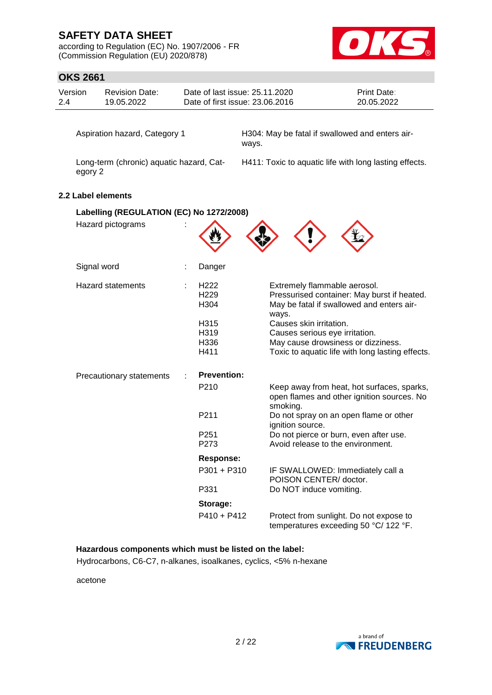according to Regulation (EC) No. 1907/2006 - FR (Commission Regulation (EU) 2020/878)



### **OKS 2661**

| Version | <b>Revision Date:</b> | Date of last issue: 25.11.2020  | <b>Print Date:</b> |
|---------|-----------------------|---------------------------------|--------------------|
| 2.4     | 19.05.2022            | Date of first issue: 23,06,2016 | 20.05.2022         |

Aspiration hazard, Category 1 H304: May be fatal if swallowed and enters airways.

Long-term (chronic) aquatic hazard, Category 2

H411: Toxic to aquatic life with long lasting effects.

### **2.2 Label elements**

| Labelling (REGULATION (EC) No 1272/2008) |                                              |                                                                                                                                   |
|------------------------------------------|----------------------------------------------|-----------------------------------------------------------------------------------------------------------------------------------|
| Hazard pictograms                        |                                              |                                                                                                                                   |
| Signal word                              | Danger                                       |                                                                                                                                   |
| <b>Hazard statements</b>                 | H <sub>222</sub><br>H <sub>229</sub><br>H304 | Extremely flammable aerosol.<br>Pressurised container: May burst if heated.<br>May be fatal if swallowed and enters air-<br>ways. |
|                                          | H315                                         | Causes skin irritation.                                                                                                           |
|                                          | H319                                         | Causes serious eye irritation.                                                                                                    |
|                                          | H336                                         | May cause drowsiness or dizziness.                                                                                                |
|                                          | H411                                         | Toxic to aquatic life with long lasting effects.                                                                                  |
| Precautionary statements                 | <b>Prevention:</b>                           |                                                                                                                                   |
|                                          | P <sub>210</sub>                             | Keep away from heat, hot surfaces, sparks,<br>open flames and other ignition sources. No<br>smoking.                              |
|                                          | P211                                         | Do not spray on an open flame or other<br>ignition source.                                                                        |
|                                          | P <sub>251</sub>                             | Do not pierce or burn, even after use.                                                                                            |
|                                          | P273                                         | Avoid release to the environment.                                                                                                 |
|                                          | <b>Response:</b>                             |                                                                                                                                   |
|                                          | P301 + P310                                  | IF SWALLOWED: Immediately call a<br>POISON CENTER/ doctor.                                                                        |
|                                          | P331                                         | Do NOT induce vomiting.                                                                                                           |
|                                          | Storage:                                     |                                                                                                                                   |
|                                          | $P410 + P412$                                | Protect from sunlight. Do not expose to<br>temperatures exceeding 50 °C/ 122 °F.                                                  |

#### **Hazardous components which must be listed on the label:**

Hydrocarbons, C6-C7, n-alkanes, isoalkanes, cyclics, <5% n-hexane

acetone

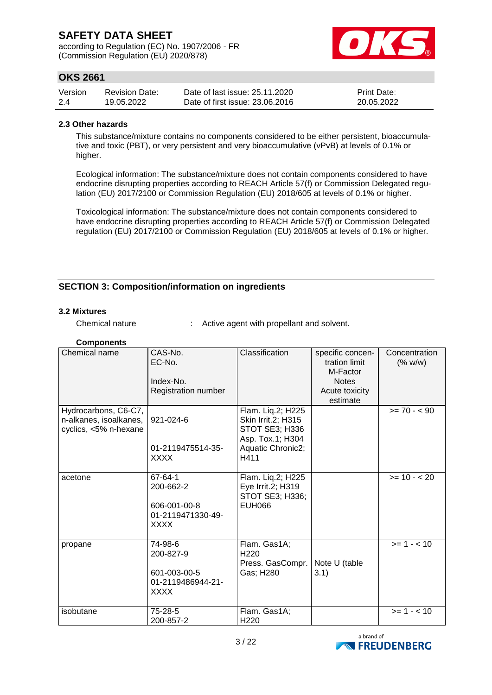according to Regulation (EC) No. 1907/2006 - FR (Commission Regulation (EU) 2020/878)



## **OKS 2661**

| Version | <b>Revision Date:</b> | Date of last issue: 25.11.2020  | <b>Print Date:</b> |
|---------|-----------------------|---------------------------------|--------------------|
| 2.4     | 19.05.2022            | Date of first issue: 23,06,2016 | 20.05.2022         |

#### **2.3 Other hazards**

This substance/mixture contains no components considered to be either persistent, bioaccumulative and toxic (PBT), or very persistent and very bioaccumulative (vPvB) at levels of 0.1% or higher.

Ecological information: The substance/mixture does not contain components considered to have endocrine disrupting properties according to REACH Article 57(f) or Commission Delegated regulation (EU) 2017/2100 or Commission Regulation (EU) 2018/605 at levels of 0.1% or higher.

Toxicological information: The substance/mixture does not contain components considered to have endocrine disrupting properties according to REACH Article 57(f) or Commission Delegated regulation (EU) 2017/2100 or Commission Regulation (EU) 2018/605 at levels of 0.1% or higher.

### **SECTION 3: Composition/information on ingredients**

#### **3.2 Mixtures**

**Components**

Chemical nature : Active agent with propellant and solvent.

| <b>UUIIIPUIIGIILS</b>                                                   |                                                                          |                                                                               |                                               |                          |
|-------------------------------------------------------------------------|--------------------------------------------------------------------------|-------------------------------------------------------------------------------|-----------------------------------------------|--------------------------|
| Chemical name                                                           | CAS-No.<br>EC-No.                                                        | Classification                                                                | specific concen-<br>tration limit<br>M-Factor | Concentration<br>(% w/w) |
|                                                                         | Index-No.<br>Registration number                                         |                                                                               | <b>Notes</b><br>Acute toxicity<br>estimate    |                          |
| Hydrocarbons, C6-C7,<br>n-alkanes, isoalkanes,<br>cyclics, <5% n-hexane | 921-024-6                                                                | Flam. Liq.2; H225<br>Skin Irrit.2; H315<br>STOT SE3; H336<br>Asp. Tox.1; H304 |                                               | $>= 70 - 90$             |
|                                                                         | 01-2119475514-35-<br><b>XXXX</b>                                         | Aquatic Chronic2;<br>H411                                                     |                                               |                          |
| acetone                                                                 | 67-64-1<br>200-662-2<br>606-001-00-8<br>01-2119471330-49-<br><b>XXXX</b> | Flam. Liq.2; H225<br>Eye Irrit.2; H319<br>STOT SE3; H336;<br><b>EUH066</b>    |                                               | $>= 10 - 20$             |
| propane                                                                 | 74-98-6<br>200-827-9<br>601-003-00-5<br>01-2119486944-21-<br><b>XXXX</b> | Flam. Gas1A;<br>H <sub>220</sub><br>Press. GasCompr.<br>Gas; H280             | Note U (table<br>3.1)                         | $>= 1 - < 10$            |
| isobutane                                                               | 75-28-5<br>200-857-2                                                     | Flam. Gas1A;<br>H <sub>220</sub>                                              |                                               | $>= 1 - 10$              |

a brand of **EXPRESSION FREUDENBERG**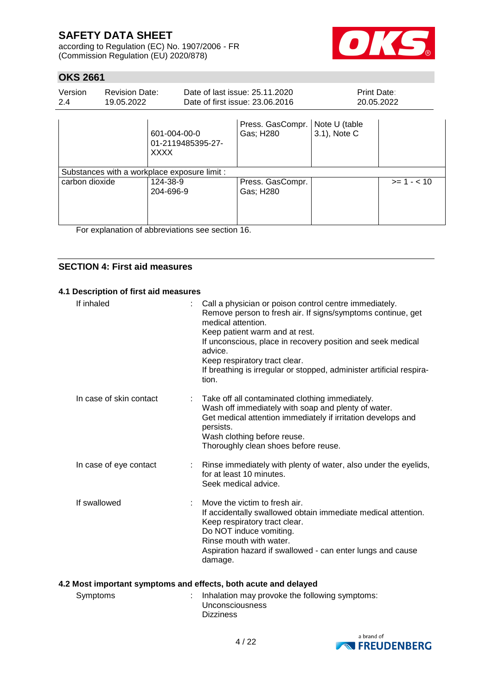according to Regulation (EC) No. 1907/2006 - FR (Commission Regulation (EU) 2020/878)



## **OKS 2661**

| Version<br>2.4 | <b>Revision Date:</b><br>19.05.2022 |                                                  | Date of last issue: 25.11.2020<br>Date of first issue: 23.06.2016 | Print Date:<br>20.05.2022     |             |
|----------------|-------------------------------------|--------------------------------------------------|-------------------------------------------------------------------|-------------------------------|-------------|
|                |                                     | 601-004-00-0<br>01-2119485395-27-<br><b>XXXX</b> | Press. GasCompr.<br>Gas; H280                                     | Note U (table<br>3.1), Note C |             |
|                |                                     | Substances with a workplace exposure limit :     |                                                                   |                               |             |
| carbon dioxide |                                     | 124-38-9<br>204-696-9                            | Press. GasCompr.<br>Gas; H280                                     |                               | $>= 1 - 10$ |

For explanation of abbreviations see section 16.

### **SECTION 4: First aid measures**

#### **4.1 Description of first aid measures**

| If inhaled              | Call a physician or poison control centre immediately.<br>Remove person to fresh air. If signs/symptoms continue, get<br>medical attention.<br>Keep patient warm and at rest.<br>If unconscious, place in recovery position and seek medical<br>advice.<br>Keep respiratory tract clear.<br>If breathing is irregular or stopped, administer artificial respira-<br>tion. |
|-------------------------|---------------------------------------------------------------------------------------------------------------------------------------------------------------------------------------------------------------------------------------------------------------------------------------------------------------------------------------------------------------------------|
| In case of skin contact | : Take off all contaminated clothing immediately.<br>Wash off immediately with soap and plenty of water.<br>Get medical attention immediately if irritation develops and<br>persists.<br>Wash clothing before reuse.<br>Thoroughly clean shoes before reuse.                                                                                                              |
| In case of eye contact  | : Rinse immediately with plenty of water, also under the eyelids,<br>for at least 10 minutes.<br>Seek medical advice.                                                                                                                                                                                                                                                     |
| If swallowed            | Move the victim to fresh air.<br>If accidentally swallowed obtain immediate medical attention.<br>Keep respiratory tract clear.<br>Do NOT induce vomiting.<br>Rinse mouth with water.<br>Aspiration hazard if swallowed - can enter lungs and cause<br>damage.                                                                                                            |

#### **4.2 Most important symptoms and effects, both acute and delayed**

| Symptoms | : Inhalation may provoke the following symptoms: |
|----------|--------------------------------------------------|
|          | <b>Unconsciousness</b>                           |
|          | <b>Dizziness</b>                                 |

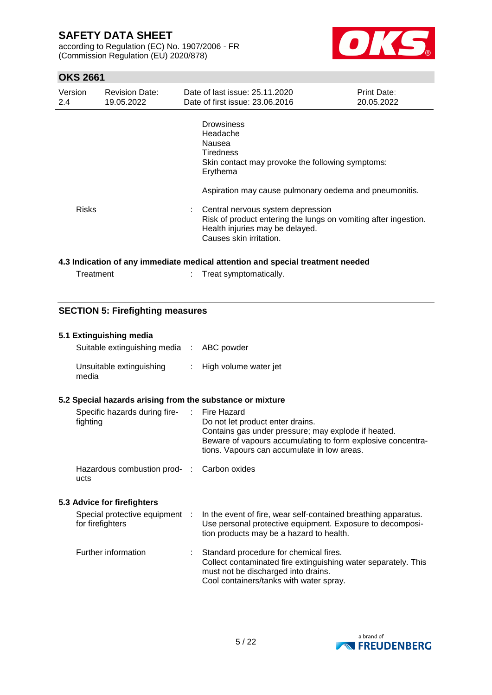according to Regulation (EC) No. 1907/2006 - FR (Commission Regulation (EU) 2020/878)



### **OKS 2661**

| Version<br>2.4 | <b>Revision Date:</b><br>19.05.2022 | Date of last issue: 25.11.2020<br>Date of first issue: 23.06.2016                                                                                                                                                            | <b>Print Date:</b><br>20.05.2022 |
|----------------|-------------------------------------|------------------------------------------------------------------------------------------------------------------------------------------------------------------------------------------------------------------------------|----------------------------------|
|                |                                     | <b>Drowsiness</b><br>Headache<br>Nausea<br>Tiredness<br>Skin contact may provoke the following symptoms:<br>Erythema                                                                                                         |                                  |
| <b>Risks</b>   |                                     | Aspiration may cause pulmonary oedema and pneumonitis.<br>Central nervous system depression<br>Risk of product entering the lungs on vomiting after ingestion.<br>Health injuries may be delayed.<br>Causes skin irritation. |                                  |
|                |                                     |                                                                                                                                                                                                                              |                                  |

#### **4.3 Indication of any immediate medical attention and special treatment needed**

| Treatment | Treat symptomatically. |  |
|-----------|------------------------|--|
|           |                        |  |

### **SECTION 5: Firefighting measures**

#### **5.1 Extinguishing media**

| Suitable extinguishing media : ABC powder |                         |
|-------------------------------------------|-------------------------|
| Unsuitable extinguishing<br>media         | : High volume water jet |

#### **5.2 Special hazards arising from the substance or mixture**

| Specific hazards during fire-<br>fighting  | : Fire Hazard<br>Do not let product enter drains.<br>Contains gas under pressure; may explode if heated.<br>Beware of vapours accumulating to form explosive concentra-<br>tions. Vapours can accumulate in low areas. |
|--------------------------------------------|------------------------------------------------------------------------------------------------------------------------------------------------------------------------------------------------------------------------|
| Hazardous combustion prod- : Carbon oxides |                                                                                                                                                                                                                        |

ucts

#### **5.3 Advice for firefighters**

| Special protective equipment<br>for firefighters |    | In the event of fire, wear self-contained breathing apparatus.<br>Use personal protective equipment. Exposure to decomposi-<br>tion products may be a hazard to health.                    |
|--------------------------------------------------|----|--------------------------------------------------------------------------------------------------------------------------------------------------------------------------------------------|
| Further information                              | ÷. | Standard procedure for chemical fires.<br>Collect contaminated fire extinguishing water separately. This<br>must not be discharged into drains.<br>Cool containers/tanks with water spray. |

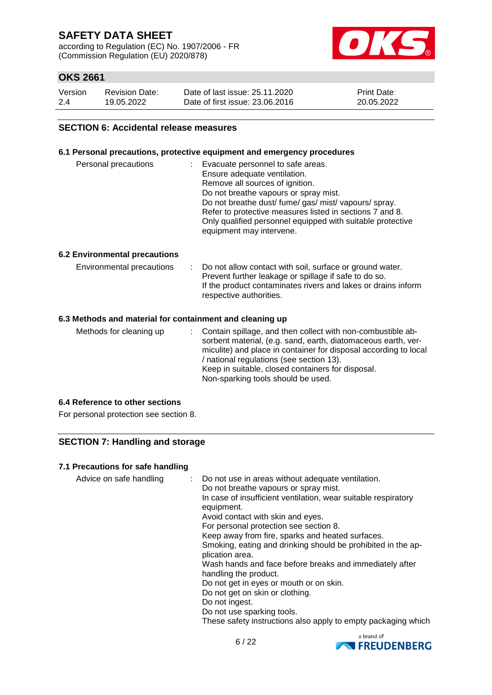according to Regulation (EC) No. 1907/2006 - FR (Commission Regulation (EU) 2020/878)



## **OKS 2661**

| Version | <b>Revision Date:</b> | Date of last issue: 25.11.2020  | <b>Print Date:</b> |
|---------|-----------------------|---------------------------------|--------------------|
| 2.4     | 19.05.2022            | Date of first issue: 23,06,2016 | 20.05.2022         |

#### **SECTION 6: Accidental release measures**

#### **6.1 Personal precautions, protective equipment and emergency procedures**

| Personal precautions | Evacuate personnel to safe areas.<br>Ensure adequate ventilation.<br>Remove all sources of ignition.<br>Do not breathe vapours or spray mist.<br>Do not breathe dust/ fume/ gas/ mist/ vapours/ spray.<br>Refer to protective measures listed in sections 7 and 8.<br>Only qualified personnel equipped with suitable protective |
|----------------------|----------------------------------------------------------------------------------------------------------------------------------------------------------------------------------------------------------------------------------------------------------------------------------------------------------------------------------|
|                      | equipment may intervene.                                                                                                                                                                                                                                                                                                         |

#### **6.2 Environmental precautions**

| If the product contaminates rivers and lakes or drains inform<br>respective authorities. |
|------------------------------------------------------------------------------------------|
|------------------------------------------------------------------------------------------|

#### **6.3 Methods and material for containment and cleaning up**

| Methods for cleaning up | : Contain spillage, and then collect with non-combustible ab-<br>sorbent material, (e.g. sand, earth, diatomaceous earth, ver-<br>miculite) and place in container for disposal according to local<br>/ national regulations (see section 13).<br>Keep in suitable, closed containers for disposal.<br>Non-sparking tools should be used. |
|-------------------------|-------------------------------------------------------------------------------------------------------------------------------------------------------------------------------------------------------------------------------------------------------------------------------------------------------------------------------------------|
|-------------------------|-------------------------------------------------------------------------------------------------------------------------------------------------------------------------------------------------------------------------------------------------------------------------------------------------------------------------------------------|

#### **6.4 Reference to other sections**

For personal protection see section 8.

### **SECTION 7: Handling and storage**

#### **7.1 Precautions for safe handling**

| Advice on safe handling | : Do not use in areas without adequate ventilation.<br>Do not breathe vapours or spray mist.<br>In case of insufficient ventilation, wear suitable respiratory<br>equipment.<br>Avoid contact with skin and eyes.<br>For personal protection see section 8.<br>Keep away from fire, sparks and heated surfaces.<br>Smoking, eating and drinking should be prohibited in the ap-<br>plication area.<br>Wash hands and face before breaks and immediately after<br>handling the product.<br>Do not get in eyes or mouth or on skin.<br>Do not get on skin or clothing.<br>Do not ingest.<br>Do not use sparking tools.<br>These safety instructions also apply to empty packaging which |
|-------------------------|---------------------------------------------------------------------------------------------------------------------------------------------------------------------------------------------------------------------------------------------------------------------------------------------------------------------------------------------------------------------------------------------------------------------------------------------------------------------------------------------------------------------------------------------------------------------------------------------------------------------------------------------------------------------------------------|
|-------------------------|---------------------------------------------------------------------------------------------------------------------------------------------------------------------------------------------------------------------------------------------------------------------------------------------------------------------------------------------------------------------------------------------------------------------------------------------------------------------------------------------------------------------------------------------------------------------------------------------------------------------------------------------------------------------------------------|

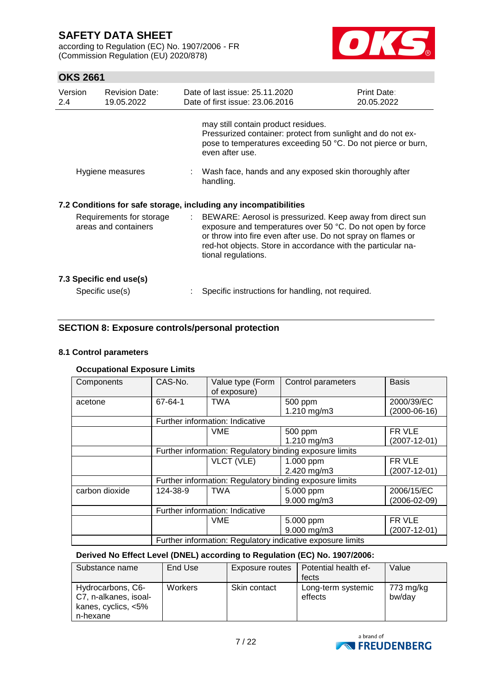according to Regulation (EC) No. 1907/2006 - FR (Commission Regulation (EU) 2020/878)



## **OKS 2661**

| Version<br>2.4                                                   | <b>Revision Date:</b><br>19.05.2022        |  | Date of last issue: 25.11.2020<br>Date of first issue: 23.06.2016                                                                                                                                                                                                                | <b>Print Date:</b><br>20.05.2022 |  |
|------------------------------------------------------------------|--------------------------------------------|--|----------------------------------------------------------------------------------------------------------------------------------------------------------------------------------------------------------------------------------------------------------------------------------|----------------------------------|--|
|                                                                  |                                            |  | may still contain product residues.<br>Pressurized container: protect from sunlight and do not ex-<br>pose to temperatures exceeding 50 °C. Do not pierce or burn,<br>even after use.                                                                                            |                                  |  |
| Hygiene measures                                                 |                                            |  | : Wash face, hands and any exposed skin thoroughly after<br>handling.                                                                                                                                                                                                            |                                  |  |
| 7.2 Conditions for safe storage, including any incompatibilities |                                            |  |                                                                                                                                                                                                                                                                                  |                                  |  |
| Requirements for storage<br>areas and containers                 |                                            |  | : BEWARE: Aerosol is pressurized. Keep away from direct sun<br>exposure and temperatures over 50 °C. Do not open by force<br>or throw into fire even after use. Do not spray on flames or<br>red-hot objects. Store in accordance with the particular na-<br>tional regulations. |                                  |  |
|                                                                  | 7.3 Specific end use(s)<br>Specific use(s) |  | Specific instructions for handling, not required.                                                                                                                                                                                                                                |                                  |  |
|                                                                  |                                            |  |                                                                                                                                                                                                                                                                                  |                                  |  |

## **SECTION 8: Exposure controls/personal protection**

#### **8.1 Control parameters**

### **Occupational Exposure Limits**

| Components     | CAS-No.                                                    | Value type (Form<br>of exposure) | Control parameters     | <b>Basis</b>       |  |
|----------------|------------------------------------------------------------|----------------------------------|------------------------|--------------------|--|
| acetone        | 67-64-1                                                    | <b>TWA</b>                       | 500 ppm<br>1.210 mg/m3 | 2000/39/EC         |  |
|                |                                                            |                                  |                        | $(2000-06-16)$     |  |
|                |                                                            | Further information: Indicative  |                        |                    |  |
|                | FR VLE<br><b>VME</b><br>500 ppm                            |                                  |                        |                    |  |
|                |                                                            |                                  | 1.210 mg/m3            | $(2007 - 12 - 01)$ |  |
|                | Further information: Regulatory binding exposure limits    |                                  |                        |                    |  |
|                | VLCT (VLE)<br>FR VLE<br>1.000 ppm                          |                                  |                        |                    |  |
|                |                                                            |                                  | 2.420 mg/m3            | $(2007 - 12 - 01)$ |  |
|                | Further information: Regulatory binding exposure limits    |                                  |                        |                    |  |
| carbon dioxide | 124-38-9                                                   | <b>TWA</b>                       | 5.000 ppm              | 2006/15/EC         |  |
|                |                                                            |                                  | 9.000 mg/m3            | (2006-02-09)       |  |
|                | Further information: Indicative                            |                                  |                        |                    |  |
|                |                                                            | <b>VME</b>                       | 5.000 ppm              | FR VLE             |  |
|                |                                                            |                                  | 9.000 mg/m3            | $(2007 - 12 - 01)$ |  |
|                | Further information: Regulatory indicative exposure limits |                                  |                        |                    |  |

### **Derived No Effect Level (DNEL) according to Regulation (EC) No. 1907/2006:**

| Substance name                                                                | End Use        | Exposure routes | l Potential health ef-<br>fects | Value               |
|-------------------------------------------------------------------------------|----------------|-----------------|---------------------------------|---------------------|
| Hydrocarbons, C6-<br>C7, n-alkanes, isoal-<br>kanes, cyclics, <5%<br>n-hexane | <b>Workers</b> | Skin contact    | Long-term systemic<br>effects   | 773 mg/kg<br>bw/day |

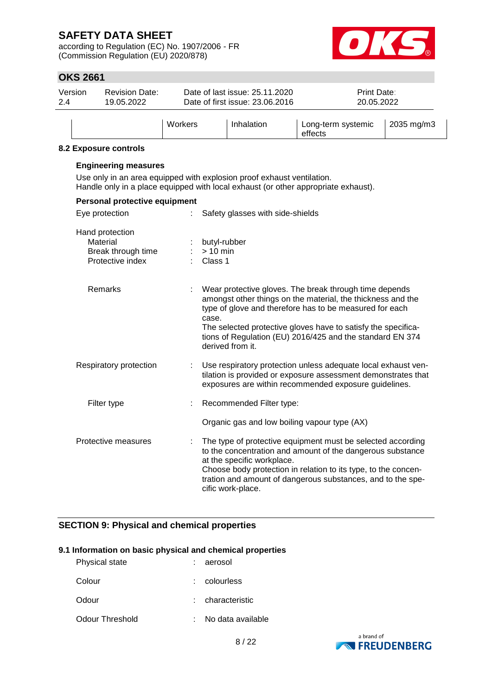according to Regulation (EC) No. 1907/2006 - FR (Commission Regulation (EU) 2020/878)



## **OKS 2661**

| Version | <b>Revision Date:</b> |         | Date of last issue: 25.11.2020  | <b>Print Date:</b> |            |
|---------|-----------------------|---------|---------------------------------|--------------------|------------|
| 2.4     | 19.05.2022            |         | Date of first issue: 23.06.2016 | 20.05.2022         |            |
|         |                       | Workers | Inhalation                      | Long-term systemic | 2035 mg/m3 |

effects

#### **8.2 Exposure controls**

## **Engineering measures** Use only in an area equipped with explosion proof exhaust ventilation. Handle only in a place equipped with local exhaust (or other appropriate exhaust). **Personal protective equipment** Eye protection : Safety glasses with side-shields Hand protection Material : butyl-rubber Break through time  $\qquad \qquad : \qquad > 10$  min Protective index : Class 1 Remarks : Wear protective gloves. The break through time depends amongst other things on the material, the thickness and the type of glove and therefore has to be measured for each case. The selected protective gloves have to satisfy the specifications of Regulation (EU) 2016/425 and the standard EN 374 derived from it. Respiratory protection : Use respiratory protection unless adequate local exhaust ventilation is provided or exposure assessment demonstrates that exposures are within recommended exposure guidelines. Filter type : Recommended Filter type:

Organic gas and low boiling vapour type (AX)

to the concentration and amount of the dangerous substance

Choose body protection in relation to its type, to the concentration and amount of dangerous substances, and to the spe-

Protective measures : The type of protective equipment must be selected according

at the specific workplace.

cific work-place.

# **SECTION 9: Physical and chemical properties**

#### **9.1 Information on basic physical and chemical properties**

| <b>Physical state</b> | : aerosol         |
|-----------------------|-------------------|
| Colour                | colourless        |
| Odour                 | : characteristic  |
| Odour Threshold       | No data available |

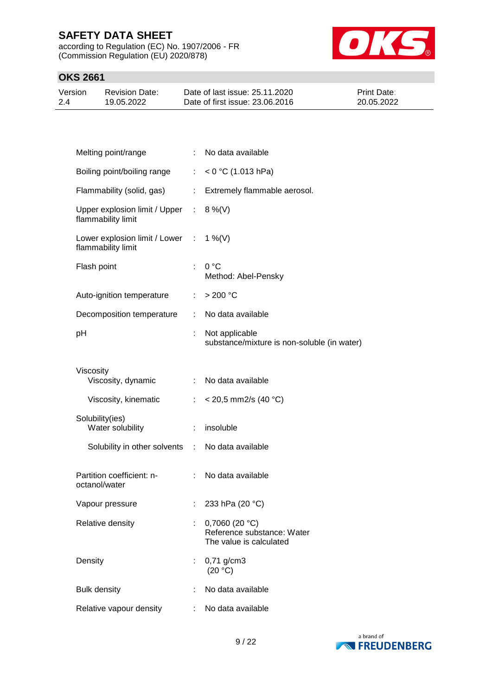according to Regulation (EC) No. 1907/2006 - FR (Commission Regulation (EU) 2020/878)



| Version | <b>Revision Date:</b> | Date of last issue: 25.11.2020  | <b>Print Date:</b> |
|---------|-----------------------|---------------------------------|--------------------|
| 2.4     | 19.05.2022            | Date of first issue: 23,06,2016 | 20.05.2022         |

| Melting point/range                                             |                               | : No data available                                                       |
|-----------------------------------------------------------------|-------------------------------|---------------------------------------------------------------------------|
| Boiling point/boiling range                                     | $\mathbb{Z}^{\times}$         | $<$ 0 °C (1.013 hPa)                                                      |
| Flammability (solid, gas)                                       | $\mathbb{Z}^{\times}$         | Extremely flammable aerosol.                                              |
| Upper explosion limit / Upper : $8\%$ (V)<br>flammability limit |                               |                                                                           |
| Lower explosion limit / Lower : 1 %(V)<br>flammability limit    |                               |                                                                           |
| Flash point                                                     | t.                            | 0 °C<br>Method: Abel-Pensky                                               |
| Auto-ignition temperature                                       | $\mathcal{L}_{\mathrm{eff}}$  | $>$ 200 °C                                                                |
| Decomposition temperature                                       | $\mathbb{Z}^{\times}$         | No data available                                                         |
| рH                                                              |                               | Not applicable<br>substance/mixture is non-soluble (in water)             |
| Viscosity<br>Viscosity, dynamic                                 |                               | : No data available                                                       |
| Viscosity, kinematic                                            | $\mathbb{Z}^n$ .              | $<$ 20,5 mm2/s (40 °C)                                                    |
| Solubility(ies)                                                 |                               |                                                                           |
| Water solubility                                                | $\mathcal{I}^{\mathcal{I}}$ . | insoluble                                                                 |
| Solubility in other solvents :                                  |                               | No data available                                                         |
| Partition coefficient: n-<br>octanol/water                      |                               | : No data available                                                       |
| Vapour pressure                                                 |                               | 233 hPa (20 °C)                                                           |
| Relative density                                                |                               | 0,7060 $(20 °C)$<br>Reference substance: Water<br>The value is calculated |
| Density                                                         | t.                            | $0,71$ g/cm3<br>(20 °C)                                                   |
| <b>Bulk density</b>                                             |                               | No data available                                                         |
| Relative vapour density                                         |                               | No data available                                                         |
|                                                                 |                               |                                                                           |

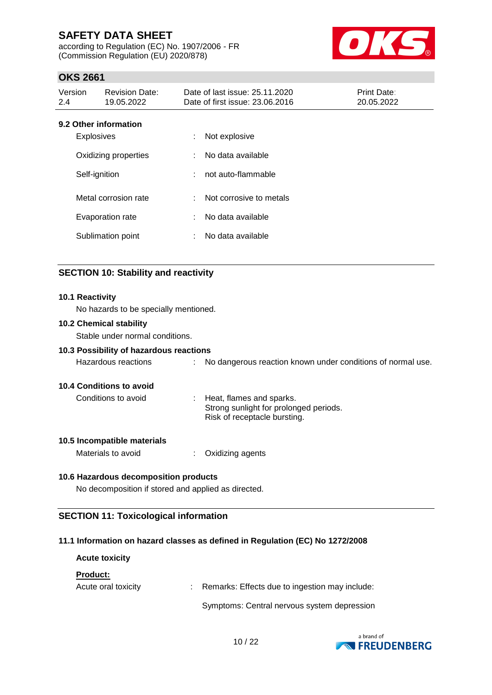according to Regulation (EC) No. 1907/2006 - FR (Commission Regulation (EU) 2020/878)



### **OKS 2661**

| Version<br>2.4                             | <b>Revision Date:</b><br>19.05.2022 |    | Date of last issue: 25.11.2020<br>Date of first issue: 23.06.2016 | <b>Print Date:</b><br>20.05.2022 |
|--------------------------------------------|-------------------------------------|----|-------------------------------------------------------------------|----------------------------------|
| 9.2 Other information<br><b>Explosives</b> |                                     | ÷  | Not explosive                                                     |                                  |
| Oxidizing properties                       |                                     | ÷  | No data available                                                 |                                  |
| Self-ignition                              |                                     | ÷. | not auto-flammable                                                |                                  |
| Metal corrosion rate                       |                                     | ÷  | Not corrosive to metals                                           |                                  |
| Evaporation rate                           |                                     | ÷  | No data available                                                 |                                  |
| Sublimation point                          |                                     | ÷  | No data available                                                 |                                  |
|                                            |                                     |    |                                                                   |                                  |

### **SECTION 10: Stability and reactivity**

#### **10.1 Reactivity**

No hazards to be specially mentioned.

#### **10.2 Chemical stability**

Stable under normal conditions.

### **10.3 Possibility of hazardous reactions**

| Hazardous reactions |  |  | No dangerous reaction known under conditions of normal use. |  |  |  |  |  |
|---------------------|--|--|-------------------------------------------------------------|--|--|--|--|--|
|---------------------|--|--|-------------------------------------------------------------|--|--|--|--|--|

#### **10.4 Conditions to avoid**

| Conditions to avoid | : Heat, flames and sparks.             |
|---------------------|----------------------------------------|
|                     | Strong sunlight for prolonged periods. |
|                     | Risk of receptacle bursting.           |

#### **10.5 Incompatible materials**

Materials to avoid : Oxidizing agents

#### **10.6 Hazardous decomposition products**

No decomposition if stored and applied as directed.

#### **SECTION 11: Toxicological information**

#### **11.1 Information on hazard classes as defined in Regulation (EC) No 1272/2008**

| <b>Acute toxicity</b> |                                                  |
|-----------------------|--------------------------------------------------|
| <b>Product:</b>       |                                                  |
| Acute oral toxicity   | : Remarks: Effects due to ingestion may include: |
|                       | Symptoms: Central nervous system depression      |

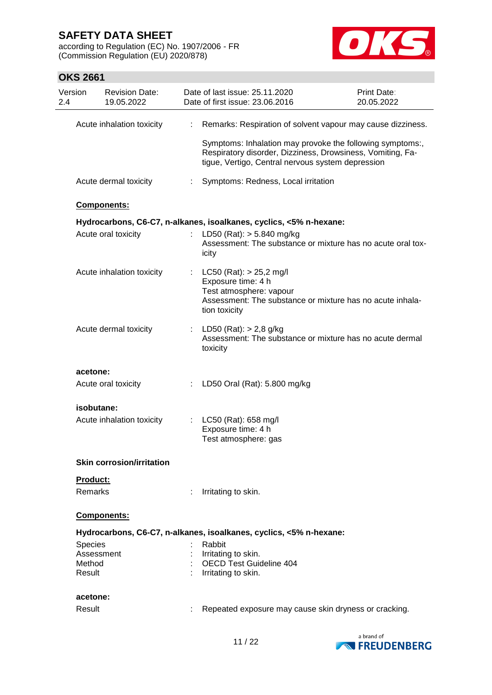according to Regulation (EC) No. 1907/2006 - FR (Commission Regulation (EU) 2020/878)



| Version<br>2.4 |                  | <b>Revision Date:</b><br>19.05.2022 |   | Date of last issue: 25.11.2020<br>Date of first issue: 23.06.2016                                                                                                            | <b>Print Date:</b><br>20.05.2022 |
|----------------|------------------|-------------------------------------|---|------------------------------------------------------------------------------------------------------------------------------------------------------------------------------|----------------------------------|
|                |                  | Acute inhalation toxicity           | ÷ | Remarks: Respiration of solvent vapour may cause dizziness.                                                                                                                  |                                  |
|                |                  |                                     |   | Symptoms: Inhalation may provoke the following symptoms:,<br>Respiratory disorder, Dizziness, Drowsiness, Vomiting, Fa-<br>tigue, Vertigo, Central nervous system depression |                                  |
|                |                  | Acute dermal toxicity               |   | Symptoms: Redness, Local irritation                                                                                                                                          |                                  |
|                |                  | Components:                         |   |                                                                                                                                                                              |                                  |
|                |                  |                                     |   | Hydrocarbons, C6-C7, n-alkanes, isoalkanes, cyclics, <5% n-hexane:                                                                                                           |                                  |
|                |                  | Acute oral toxicity                 |   | : LD50 (Rat): $> 5.840$ mg/kg<br>Assessment: The substance or mixture has no acute oral tox-<br>icity                                                                        |                                  |
|                |                  | Acute inhalation toxicity           |   | LC50 (Rat): > 25,2 mg/l<br>Exposure time: 4 h<br>Test atmosphere: vapour<br>Assessment: The substance or mixture has no acute inhala-<br>tion toxicity                       |                                  |
|                |                  | Acute dermal toxicity               |   | : LD50 (Rat): $> 2,8$ g/kg<br>Assessment: The substance or mixture has no acute dermal<br>toxicity                                                                           |                                  |
|                | acetone:         |                                     |   |                                                                                                                                                                              |                                  |
|                |                  | Acute oral toxicity                 |   | LD50 Oral (Rat): 5.800 mg/kg                                                                                                                                                 |                                  |
|                | isobutane:       |                                     |   |                                                                                                                                                                              |                                  |
|                |                  | Acute inhalation toxicity           |   | : $LC50$ (Rat): 658 mg/l<br>Exposure time: 4 h<br>Test atmosphere: gas                                                                                                       |                                  |
|                |                  | <b>Skin corrosion/irritation</b>    |   |                                                                                                                                                                              |                                  |
|                | <b>Product:</b>  |                                     |   |                                                                                                                                                                              |                                  |
|                | Remarks          |                                     |   | Irritating to skin.                                                                                                                                                          |                                  |
|                |                  | Components:                         |   |                                                                                                                                                                              |                                  |
|                |                  |                                     |   | Hydrocarbons, C6-C7, n-alkanes, isoalkanes, cyclics, <5% n-hexane:                                                                                                           |                                  |
|                | Species          |                                     |   | Rabbit                                                                                                                                                                       |                                  |
|                | Assessment       |                                     |   | Irritating to skin.                                                                                                                                                          |                                  |
|                | Method<br>Result |                                     |   | <b>OECD Test Guideline 404</b><br>Irritating to skin.                                                                                                                        |                                  |
|                | acetone:         |                                     |   |                                                                                                                                                                              |                                  |
|                | Result           |                                     |   | Repeated exposure may cause skin dryness or cracking.                                                                                                                        |                                  |

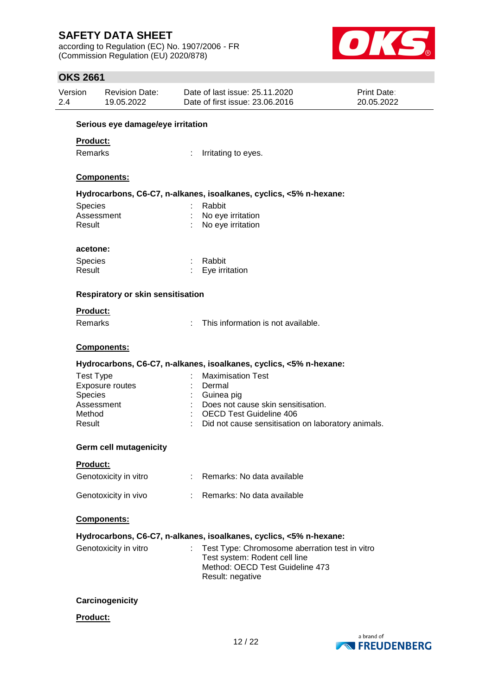according to Regulation (EC) No. 1907/2006 - FR (Commission Regulation (EU) 2020/878)



### **OKS 2661**

| Version | <b>Revision Date:</b> | Date of last issue: 25.11.2020  | <b>Print Date:</b> |
|---------|-----------------------|---------------------------------|--------------------|
| 2.4     | 19.05.2022            | Date of first issue: 23,06,2016 | 20.05.2022         |
|         |                       |                                 |                    |

#### **Serious eye damage/eye irritation**

#### **Product:**

Remarks : Irritating to eyes.

### **Components:**

#### **Hydrocarbons, C6-C7, n-alkanes, isoalkanes, cyclics, <5% n-hexane:**

| Species    | : Rabbit            |
|------------|---------------------|
| Assessment | : No eye irritation |
| Result     | : No eye irritation |
|            |                     |

#### **acetone:**

| <b>Species</b> | : Rabbit                    |
|----------------|-----------------------------|
| Result         | $\therefore$ Eye irritation |

#### **Respiratory or skin sensitisation**

#### **Product:**

Remarks : This information is not available.

#### **Components:**

#### **Hydrocarbons, C6-C7, n-alkanes, isoalkanes, cyclics, <5% n-hexane:**

| Test Type                   | <b>Maximisation Test</b>                           |
|-----------------------------|----------------------------------------------------|
| Exposure routes<br><b>A</b> | Dermal                                             |
| <b>Species</b>              | $\therefore$ Guinea pig                            |
| Assessment                  | Does not cause skin sensitisation.                 |
| Method                      | : OECD Test Guideline 406                          |
| Result                      | Did not cause sensitisation on laboratory animals. |

#### **Germ cell mutagenicity**

#### **Product:**

| Genotoxicity in vitro | Remarks: No data available |
|-----------------------|----------------------------|
| Genotoxicity in vivo  | Remarks: No data available |

#### **Components:**

| Hydrocarbons, C6-C7, n-alkanes, isoalkanes, cyclics, <5% n-hexane: |  |                                                                                                                                        |
|--------------------------------------------------------------------|--|----------------------------------------------------------------------------------------------------------------------------------------|
| Genotoxicity in vitro                                              |  | Test Type: Chromosome aberration test in vitro<br>Test system: Rodent cell line<br>Method: OECD Test Guideline 473<br>Result: negative |

#### **Carcinogenicity**

#### **Product:**

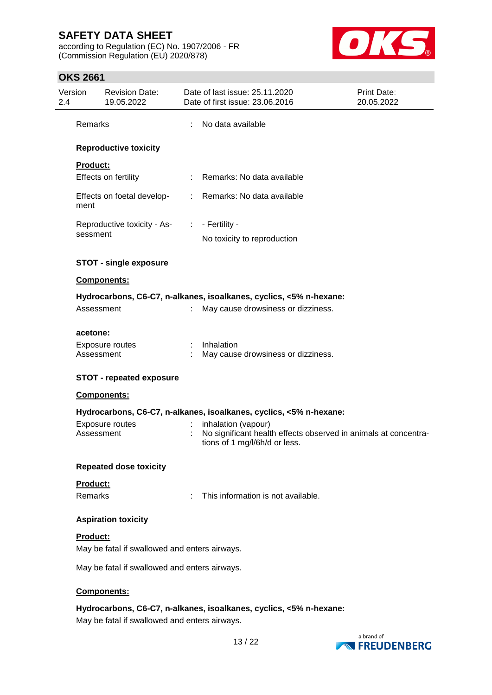according to Regulation (EC) No. 1907/2006 - FR (Commission Regulation (EU) 2020/878)



| Version<br>2.4  | <b>Revision Date:</b><br>19.05.2022           |    | Date of last issue: 25.11.2020<br>Date of first issue: 23.06.2016                                                       | <b>Print Date:</b><br>20.05.2022 |
|-----------------|-----------------------------------------------|----|-------------------------------------------------------------------------------------------------------------------------|----------------------------------|
| Remarks         |                                               | ÷  | No data available                                                                                                       |                                  |
|                 | <b>Reproductive toxicity</b>                  |    |                                                                                                                         |                                  |
| <b>Product:</b> |                                               |    |                                                                                                                         |                                  |
|                 | Effects on fertility                          |    | : Remarks: No data available                                                                                            |                                  |
| ment            | Effects on foetal develop-                    |    | : Remarks: No data available                                                                                            |                                  |
|                 | Reproductive toxicity - As- : - Fertility -   |    |                                                                                                                         |                                  |
| sessment        |                                               |    | No toxicity to reproduction                                                                                             |                                  |
|                 | <b>STOT - single exposure</b>                 |    |                                                                                                                         |                                  |
|                 | Components:                                   |    |                                                                                                                         |                                  |
|                 |                                               |    | Hydrocarbons, C6-C7, n-alkanes, isoalkanes, cyclics, <5% n-hexane:                                                      |                                  |
|                 | Assessment                                    | t. | May cause drowsiness or dizziness.                                                                                      |                                  |
| acetone:        |                                               |    |                                                                                                                         |                                  |
|                 | Exposure routes<br>Assessment                 |    | Inhalation<br>May cause drowsiness or dizziness.                                                                        |                                  |
|                 | <b>STOT - repeated exposure</b>               |    |                                                                                                                         |                                  |
|                 | Components:                                   |    |                                                                                                                         |                                  |
|                 |                                               |    | Hydrocarbons, C6-C7, n-alkanes, isoalkanes, cyclics, <5% n-hexane:                                                      |                                  |
|                 | <b>Exposure routes</b><br>Assessment          |    | inhalation (vapour)<br>No significant health effects observed in animals at concentra-<br>tions of 1 mg/l/6h/d or less. |                                  |
|                 | <b>Repeated dose toxicity</b>                 |    |                                                                                                                         |                                  |
| Product:        |                                               |    |                                                                                                                         |                                  |
| Remarks         |                                               |    | This information is not available.                                                                                      |                                  |
|                 | <b>Aspiration toxicity</b>                    |    |                                                                                                                         |                                  |
| Product:        | May be fatal if swallowed and enters airways. |    |                                                                                                                         |                                  |
|                 | May be fatal if swallowed and enters airways. |    |                                                                                                                         |                                  |
|                 | Components:                                   |    |                                                                                                                         |                                  |
|                 |                                               |    | Hydrocarbons, C6-C7, n-alkanes, isoalkanes, cyclics, <5% n-hexane:                                                      |                                  |
|                 | May be fatal if swallowed and enters airways. |    |                                                                                                                         |                                  |

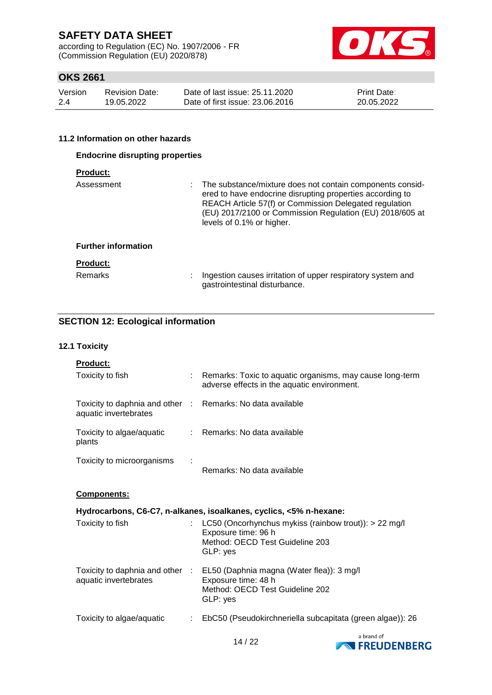according to Regulation (EC) No. 1907/2006 - FR (Commission Regulation (EU) 2020/878)



### **OKS 2661**

| Version | <b>Revision Date:</b> | Date of last issue: 25.11.2020  | <b>Print Date:</b> |
|---------|-----------------------|---------------------------------|--------------------|
| -2.4    | 19.05.2022            | Date of first issue: 23,06,2016 | 20.05.2022         |

#### **11.2 Information on other hazards**

| <b>Endocrine disrupting properties</b>                                                                                                                                                                                                                                    |
|---------------------------------------------------------------------------------------------------------------------------------------------------------------------------------------------------------------------------------------------------------------------------|
|                                                                                                                                                                                                                                                                           |
| The substance/mixture does not contain components consid-<br>ered to have endocrine disrupting properties according to<br>REACH Article 57(f) or Commission Delegated regulation<br>(EU) 2017/2100 or Commission Regulation (EU) 2018/605 at<br>levels of 0.1% or higher. |
|                                                                                                                                                                                                                                                                           |
|                                                                                                                                                                                                                                                                           |
| Ingestion causes irritation of upper respiratory system and<br>gastrointestinal disturbance.                                                                                                                                                                              |
|                                                                                                                                                                                                                                                                           |

### **SECTION 12: Ecological information**

#### **12.1 Toxicity**

| <b>Product:</b>                                          |    |                                                                                                                               |
|----------------------------------------------------------|----|-------------------------------------------------------------------------------------------------------------------------------|
| Toxicity to fish                                         |    | Remarks: Toxic to aquatic organisms, may cause long-term<br>adverse effects in the aquatic environment.                       |
| Toxicity to daphnia and other :<br>aquatic invertebrates |    | Remarks: No data available                                                                                                    |
| Toxicity to algae/aquatic<br>plants                      | t. | Remarks: No data available                                                                                                    |
| Toxicity to microorganisms                               |    | Remarks: No data available                                                                                                    |
| <b>Components:</b>                                       |    |                                                                                                                               |
|                                                          |    | Hydrocarbons, C6-C7, n-alkanes, isoalkanes, cyclics, <5% n-hexane:                                                            |
| Toxicity to fish                                         |    | LC50 (Oncorhynchus mykiss (rainbow trout)): $> 22$ mg/l<br>Exposure time: 96 h<br>Method: OECD Test Guideline 203<br>GLP: yes |
| Toxicity to daphnia and other :<br>aquatic invertebrates |    | EL50 (Daphnia magna (Water flea)): 3 mg/l<br>Exposure time: 48 h<br>Method: OECD Test Guideline 202<br>GLP: yes               |
| Toxicity to algae/aquatic                                |    | EbC50 (Pseudokirchneriella subcapitata (green algae)): 26                                                                     |

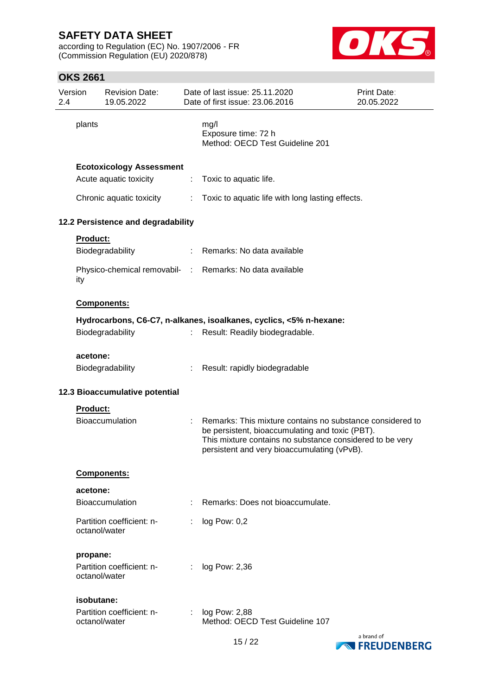according to Regulation (EC) No. 1907/2006 - FR (Commission Regulation (EU) 2020/878)



| Version<br>2.4 |                                | <b>Revision Date:</b><br>19.05.2022        |   | Date of last issue: 25.11.2020<br>Date of first issue: 23.06.2016                                                                                                                                                       | Print Date:<br>20.05.2022 |  |
|----------------|--------------------------------|--------------------------------------------|---|-------------------------------------------------------------------------------------------------------------------------------------------------------------------------------------------------------------------------|---------------------------|--|
|                | plants                         |                                            |   | mg/l<br>Exposure time: 72 h<br>Method: OECD Test Guideline 201                                                                                                                                                          |                           |  |
|                |                                | <b>Ecotoxicology Assessment</b>            |   |                                                                                                                                                                                                                         |                           |  |
|                |                                | Acute aquatic toxicity                     | ÷ | Toxic to aquatic life.                                                                                                                                                                                                  |                           |  |
|                |                                | Chronic aquatic toxicity                   |   | Toxic to aquatic life with long lasting effects.                                                                                                                                                                        |                           |  |
|                |                                | 12.2 Persistence and degradability         |   |                                                                                                                                                                                                                         |                           |  |
|                | Product:                       |                                            |   |                                                                                                                                                                                                                         |                           |  |
|                |                                | Biodegradability                           | ÷ | Remarks: No data available                                                                                                                                                                                              |                           |  |
|                | ity                            | Physico-chemical removabil- :              |   | Remarks: No data available                                                                                                                                                                                              |                           |  |
|                |                                | Components:                                |   |                                                                                                                                                                                                                         |                           |  |
|                |                                |                                            |   | Hydrocarbons, C6-C7, n-alkanes, isoalkanes, cyclics, <5% n-hexane:                                                                                                                                                      |                           |  |
|                |                                | Biodegradability                           |   | Result: Readily biodegradable.                                                                                                                                                                                          |                           |  |
|                | acetone:                       |                                            |   |                                                                                                                                                                                                                         |                           |  |
|                |                                | Biodegradability                           |   | Result: rapidly biodegradable                                                                                                                                                                                           |                           |  |
|                | 12.3 Bioaccumulative potential |                                            |   |                                                                                                                                                                                                                         |                           |  |
|                | Product:                       |                                            |   |                                                                                                                                                                                                                         |                           |  |
|                |                                | Bioaccumulation                            |   | Remarks: This mixture contains no substance considered to<br>be persistent, bioaccumulating and toxic (PBT).<br>This mixture contains no substance considered to be very<br>persistent and very bioaccumulating (vPvB). |                           |  |
|                |                                | <b>Components:</b>                         |   |                                                                                                                                                                                                                         |                           |  |
|                | acetone:                       |                                            |   |                                                                                                                                                                                                                         |                           |  |
|                |                                | <b>Bioaccumulation</b>                     |   | Remarks: Does not bioaccumulate.                                                                                                                                                                                        |                           |  |
|                |                                | Partition coefficient: n-<br>octanol/water |   | log Pow: 0,2                                                                                                                                                                                                            |                           |  |
|                | propane:                       |                                            |   |                                                                                                                                                                                                                         |                           |  |
|                |                                | Partition coefficient: n-<br>octanol/water | ÷ | log Pow: 2,36                                                                                                                                                                                                           |                           |  |
|                | isobutane:                     |                                            |   |                                                                                                                                                                                                                         |                           |  |
|                |                                | Partition coefficient: n-<br>octanol/water | ÷ | log Pow: 2,88<br>Method: OECD Test Guideline 107                                                                                                                                                                        |                           |  |

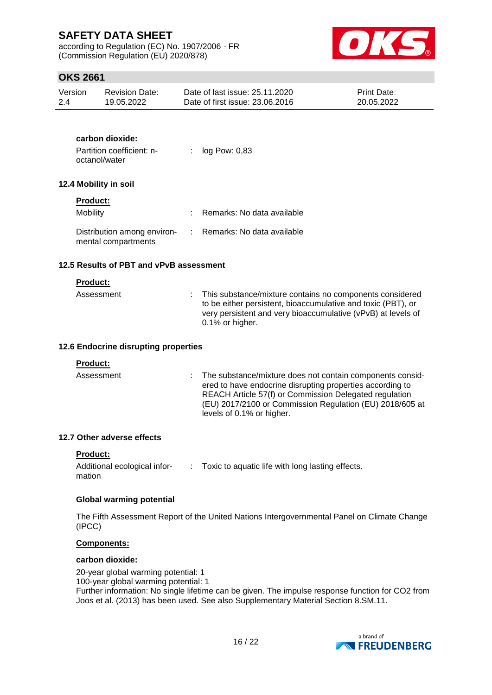according to Regulation (EC) No. 1907/2006 - FR (Commission Regulation (EU) 2020/878)



## **OKS 2661**

| Version | Revision Date: | Date of last issue: 25.11.2020  | <b>Print Date:</b> |
|---------|----------------|---------------------------------|--------------------|
| -2.4    | 19.05.2022     | Date of first issue: 23,06,2016 | 20.05.2022         |

#### **carbon dioxide:**

| Partition coefficient: n- | log Pow: 0,83 |
|---------------------------|---------------|
| octanol/water             |               |

#### **12.4 Mobility in soil**

#### **Product:**

| <b>Mobility</b>                                    | : Remarks: No data available |
|----------------------------------------------------|------------------------------|
| Distribution among environ-<br>mental compartments | : Remarks: No data available |

#### **12.5 Results of PBT and vPvB assessment**

#### **Product:**

| Assessment | : This substance/mixture contains no components considered<br>to be either persistent, bioaccumulative and toxic (PBT), or<br>very persistent and very bioaccumulative (vPvB) at levels of<br>$0.1\%$ or higher. |
|------------|------------------------------------------------------------------------------------------------------------------------------------------------------------------------------------------------------------------|
|            |                                                                                                                                                                                                                  |

#### **12.6 Endocrine disrupting properties**

#### **Product:**

| Assessment | : The substance/mixture does not contain components consid-<br>ered to have endocrine disrupting properties according to<br>REACH Article 57(f) or Commission Delegated regulation<br>(EU) 2017/2100 or Commission Regulation (EU) 2018/605 at<br>levels of 0.1% or higher. |
|------------|-----------------------------------------------------------------------------------------------------------------------------------------------------------------------------------------------------------------------------------------------------------------------------|
|------------|-----------------------------------------------------------------------------------------------------------------------------------------------------------------------------------------------------------------------------------------------------------------------------|

#### **12.7 Other adverse effects**

#### **Product:**

| Additional ecological infor- | Toxic to aquatic life with long lasting effects. |
|------------------------------|--------------------------------------------------|
| mation                       |                                                  |

#### **Global warming potential**

The Fifth Assessment Report of the United Nations Intergovernmental Panel on Climate Change (IPCC)

#### **Components:**

#### **carbon dioxide:**

20-year global warming potential: 1 100-year global warming potential: 1 Further information: No single lifetime can be given. The impulse response function for CO2 from Joos et al. (2013) has been used. See also Supplementary Material Section 8.SM.11.

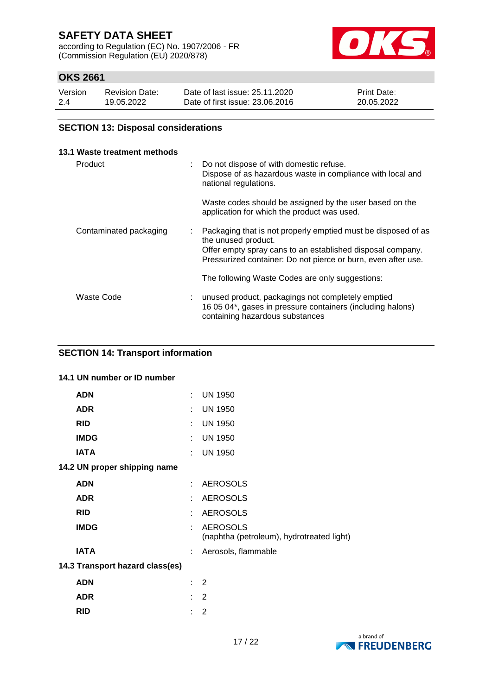according to Regulation (EC) No. 1907/2006 - FR (Commission Regulation (EU) 2020/878)



## **OKS 2661**

| Version | <b>Revision Date:</b> | Date of last issue: 25.11.2020  | <b>Print Date:</b> |
|---------|-----------------------|---------------------------------|--------------------|
| 2.4     | 19.05.2022            | Date of first issue: 23,06,2016 | 20.05.2022         |

#### **SECTION 13: Disposal considerations**

| 13.1 Waste treatment methods |    |                                                                                                                                                                                                                     |
|------------------------------|----|---------------------------------------------------------------------------------------------------------------------------------------------------------------------------------------------------------------------|
| Product                      |    | Do not dispose of with domestic refuse.<br>Dispose of as hazardous waste in compliance with local and<br>national regulations.                                                                                      |
|                              |    | Waste codes should be assigned by the user based on the<br>application for which the product was used.                                                                                                              |
| Contaminated packaging       | ÷. | Packaging that is not properly emptied must be disposed of as<br>the unused product.<br>Offer empty spray cans to an established disposal company.<br>Pressurized container: Do not pierce or burn, even after use. |
|                              |    | The following Waste Codes are only suggestions:                                                                                                                                                                     |
| Waste Code                   |    | unused product, packagings not completely emptied<br>16 05 04*, gases in pressure containers (including halons)<br>containing hazardous substances                                                                  |

#### **SECTION 14: Transport information**

#### **14.1 UN number or ID number**

| <b>ADN</b>                      | ÷. | <b>UN 1950</b>                                               |
|---------------------------------|----|--------------------------------------------------------------|
| <b>ADR</b>                      | ÷  | <b>UN 1950</b>                                               |
| <b>RID</b>                      | ÷. | <b>UN 1950</b>                                               |
| <b>IMDG</b>                     | ÷. | <b>UN 1950</b>                                               |
| <b>IATA</b>                     | ÷. | <b>UN 1950</b>                                               |
| 14.2 UN proper shipping name    |    |                                                              |
| <b>ADN</b>                      | ÷. | <b>AEROSOLS</b>                                              |
| <b>ADR</b>                      | ÷  | <b>AEROSOLS</b>                                              |
| <b>RID</b>                      | ÷. | <b>AEROSOLS</b>                                              |
| <b>IMDG</b>                     | ÷  | <b>AEROSOLS</b><br>(naphtha (petroleum), hydrotreated light) |
| <b>IATA</b>                     | ÷  | Aerosols, flammable                                          |
| 14.3 Transport hazard class(es) |    |                                                              |
| <b>ADN</b>                      |    | $\therefore$ 2                                               |
| <b>ADR</b>                      | ×. | -2                                                           |
| <b>RID</b>                      |    | 2                                                            |

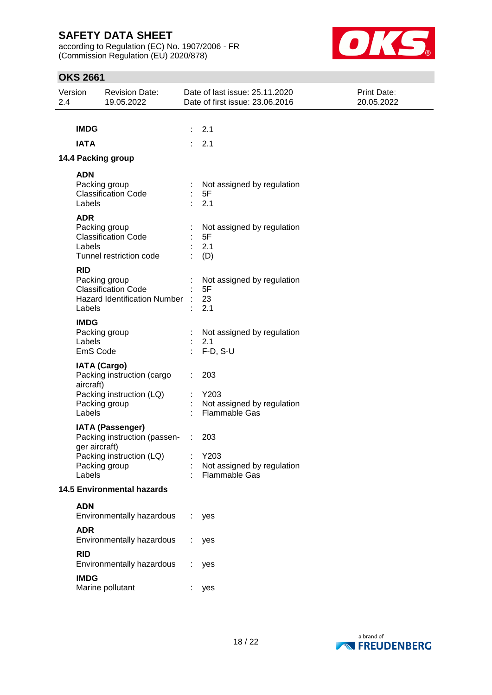according to Regulation (EC) No. 1907/2006 - FR (Commission Regulation (EU) 2020/878)



| Version<br>2.4 |                                   | <b>Revision Date:</b><br>19.05.2022                                                                  |                               | Date of last issue: 25.11.2020<br>Date of first issue: 23.06.2016 | <b>Print Date:</b><br>20.05.2022 |
|----------------|-----------------------------------|------------------------------------------------------------------------------------------------------|-------------------------------|-------------------------------------------------------------------|----------------------------------|
|                | <b>IMDG</b>                       |                                                                                                      | ÷.                            | 2.1                                                               |                                  |
|                | <b>IATA</b>                       |                                                                                                      |                               | 2.1                                                               |                                  |
|                |                                   | 14.4 Packing group                                                                                   |                               |                                                                   |                                  |
|                | <b>ADN</b><br>Labels              | Packing group<br><b>Classification Code</b>                                                          |                               | Not assigned by regulation<br>5F<br>2.1                           |                                  |
|                | <b>ADR</b><br>Labels              | Packing group<br><b>Classification Code</b><br>Tunnel restriction code                               |                               | Not assigned by regulation<br>5F<br>2.1<br>(D)                    |                                  |
|                | <b>RID</b><br>Labels              | Packing group<br><b>Classification Code</b><br><b>Hazard Identification Number</b>                   |                               | Not assigned by regulation<br>5F<br>23<br>2.1                     |                                  |
|                | <b>IMDG</b><br>Labels<br>EmS Code | Packing group                                                                                        |                               | Not assigned by regulation<br>2.1<br>$F-D, S-U$                   |                                  |
|                | aircraft)<br>Labels               | <b>IATA (Cargo)</b><br>Packing instruction (cargo<br>Packing instruction (LQ)<br>Packing group       |                               | 203<br>Y203<br>Not assigned by regulation<br><b>Flammable Gas</b> |                                  |
|                | ger aircraft)<br>Labels           | <b>IATA (Passenger)</b><br>Packing instruction (passen-<br>Packing instruction (LQ)<br>Packing group | ÷<br><b>Contract Contract</b> | 203<br>Y203<br>Not assigned by regulation<br><b>Flammable Gas</b> |                                  |
|                |                                   | <b>14.5 Environmental hazards</b>                                                                    |                               |                                                                   |                                  |
|                | <b>ADN</b>                        | Environmentally hazardous                                                                            |                               | yes                                                               |                                  |
|                | <b>ADR</b>                        | Environmentally hazardous                                                                            |                               | yes                                                               |                                  |
|                | <b>RID</b>                        | Environmentally hazardous                                                                            |                               | yes                                                               |                                  |
|                | <b>IMDG</b>                       | Marine pollutant                                                                                     |                               | yes                                                               |                                  |

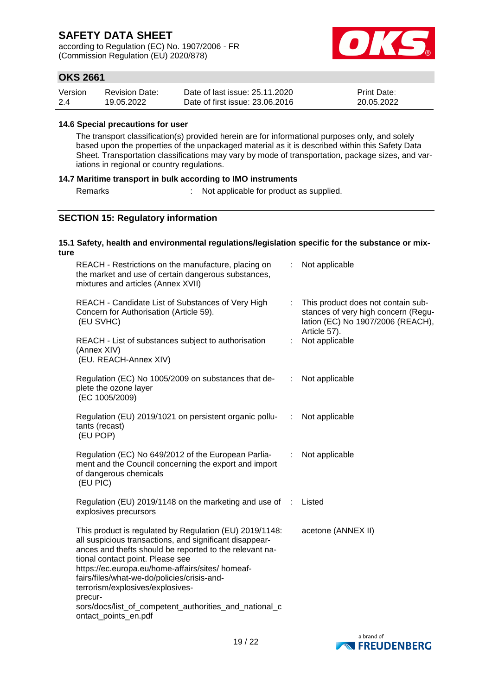according to Regulation (EC) No. 1907/2006 - FR (Commission Regulation (EU) 2020/878)



## **OKS 2661**

| Version | <b>Revision Date:</b> | Date of last issue: 25.11.2020  | <b>Print Date:</b> |
|---------|-----------------------|---------------------------------|--------------------|
| 2.4     | 19.05.2022            | Date of first issue: 23,06,2016 | 20.05.2022         |

#### **14.6 Special precautions for user**

The transport classification(s) provided herein are for informational purposes only, and solely based upon the properties of the unpackaged material as it is described within this Safety Data Sheet. Transportation classifications may vary by mode of transportation, package sizes, and variations in regional or country regulations.

#### **14.7 Maritime transport in bulk according to IMO instruments**

Remarks : Not applicable for product as supplied.

### **SECTION 15: Regulatory information**

#### **15.1 Safety, health and environmental regulations/legislation specific for the substance or mixture**

| REACH - Restrictions on the manufacture, placing on<br>the market and use of certain dangerous substances,<br>mixtures and articles (Annex XVII)                                                                                                                                                                                                                                                                                                      |                             | Not applicable     |                                                                                                                  |
|-------------------------------------------------------------------------------------------------------------------------------------------------------------------------------------------------------------------------------------------------------------------------------------------------------------------------------------------------------------------------------------------------------------------------------------------------------|-----------------------------|--------------------|------------------------------------------------------------------------------------------------------------------|
| REACH - Candidate List of Substances of Very High<br>Concern for Authorisation (Article 59).<br>(EU SVHC)                                                                                                                                                                                                                                                                                                                                             |                             | Article 57).       | : This product does not contain sub-<br>stances of very high concern (Regu-<br>lation (EC) No 1907/2006 (REACH), |
| REACH - List of substances subject to authorisation<br>(Annex XIV)<br>(EU. REACH-Annex XIV)                                                                                                                                                                                                                                                                                                                                                           | ÷                           | Not applicable     |                                                                                                                  |
| Regulation (EC) No 1005/2009 on substances that de-<br>plete the ozone layer<br>(EC 1005/2009)                                                                                                                                                                                                                                                                                                                                                        | $\mathcal{L}^{\mathcal{L}}$ | Not applicable     |                                                                                                                  |
| Regulation (EU) 2019/1021 on persistent organic pollu-<br>tants (recast)<br>(EU POP)                                                                                                                                                                                                                                                                                                                                                                  | ÷                           | Not applicable     |                                                                                                                  |
| Regulation (EC) No 649/2012 of the European Parlia-<br>ment and the Council concerning the export and import<br>of dangerous chemicals<br>(EU PIC)                                                                                                                                                                                                                                                                                                    | $\mathcal{L}^{\mathcal{L}}$ | Not applicable     |                                                                                                                  |
| Regulation (EU) 2019/1148 on the marketing and use of : Listed<br>explosives precursors                                                                                                                                                                                                                                                                                                                                                               |                             |                    |                                                                                                                  |
| This product is regulated by Regulation (EU) 2019/1148:<br>all suspicious transactions, and significant disappear-<br>ances and thefts should be reported to the relevant na-<br>tional contact point. Please see<br>https://ec.europa.eu/home-affairs/sites/ homeaf-<br>fairs/files/what-we-do/policies/crisis-and-<br>terrorism/explosives/explosives-<br>precur-<br>sors/docs/list_of_competent_authorities_and_national_c<br>ontact_points_en.pdf |                             | acetone (ANNEX II) |                                                                                                                  |

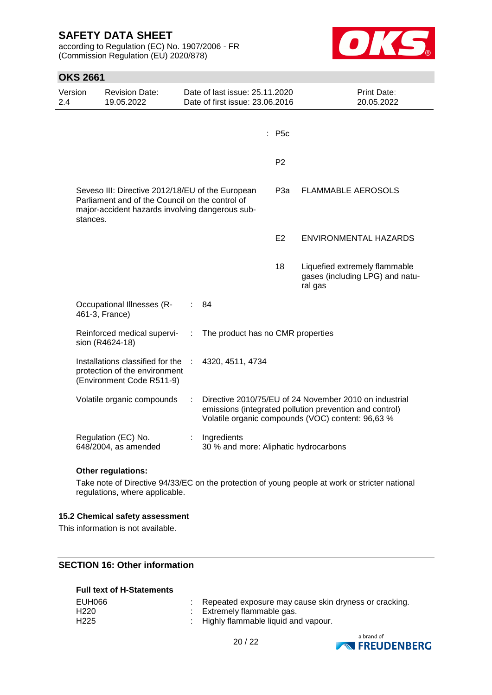according to Regulation (EC) No. 1907/2006 - FR (Commission Regulation (EU) 2020/878)



### **OKS 2661**

| Version<br>2.4                                                                                                                                                     | <b>Revision Date:</b><br>19.05.2022                                                            |  | Date of last issue: 25.11.2020<br>Date of first issue: 23.06.2016 |                  | <b>Print Date:</b><br>20.05.2022                                                                                                                                       |
|--------------------------------------------------------------------------------------------------------------------------------------------------------------------|------------------------------------------------------------------------------------------------|--|-------------------------------------------------------------------|------------------|------------------------------------------------------------------------------------------------------------------------------------------------------------------------|
|                                                                                                                                                                    |                                                                                                |  |                                                                   | : P5c            |                                                                                                                                                                        |
|                                                                                                                                                                    |                                                                                                |  |                                                                   | P <sub>2</sub>   |                                                                                                                                                                        |
| Seveso III: Directive 2012/18/EU of the European<br>Parliament and of the Council on the control of<br>major-accident hazards involving dangerous sub-<br>stances. |                                                                                                |  |                                                                   | P <sub>3</sub> a | <b>FLAMMABLE AEROSOLS</b>                                                                                                                                              |
|                                                                                                                                                                    |                                                                                                |  |                                                                   | E <sub>2</sub>   | ENVIRONMENTAL HAZARDS                                                                                                                                                  |
|                                                                                                                                                                    |                                                                                                |  |                                                                   | 18               | Liquefied extremely flammable<br>gases (including LPG) and natu-<br>ral gas                                                                                            |
|                                                                                                                                                                    | <b>Occupational Illnesses (R-</b><br>461-3, France)                                            |  | 84                                                                |                  |                                                                                                                                                                        |
| Reinforced medical supervi-<br>sion (R4624-18)                                                                                                                     |                                                                                                |  | The product has no CMR properties                                 |                  |                                                                                                                                                                        |
|                                                                                                                                                                    | Installations classified for the<br>protection of the environment<br>(Environment Code R511-9) |  | 4320, 4511, 4734                                                  |                  |                                                                                                                                                                        |
|                                                                                                                                                                    | Volatile organic compounds                                                                     |  |                                                                   |                  | Directive 2010/75/EU of 24 November 2010 on industrial<br>emissions (integrated pollution prevention and control)<br>Volatile organic compounds (VOC) content: 96,63 % |
|                                                                                                                                                                    | Regulation (EC) No.<br>Ingredients<br>648/2004, as amended                                     |  | 30 % and more: Aliphatic hydrocarbons                             |                  |                                                                                                                                                                        |

#### **Other regulations:**

Take note of Directive 94/33/EC on the protection of young people at work or stricter national regulations, where applicable.

#### **15.2 Chemical safety assessment**

This information is not available.

### **SECTION 16: Other information**

#### **Full text of H-Statements**

| EUH066           | : Repeated exposure may cause skin dryness or cracking. |
|------------------|---------------------------------------------------------|
| H <sub>220</sub> | : Extremely flammable gas.                              |
| H <sub>225</sub> | : Highly flammable liquid and vapour.                   |

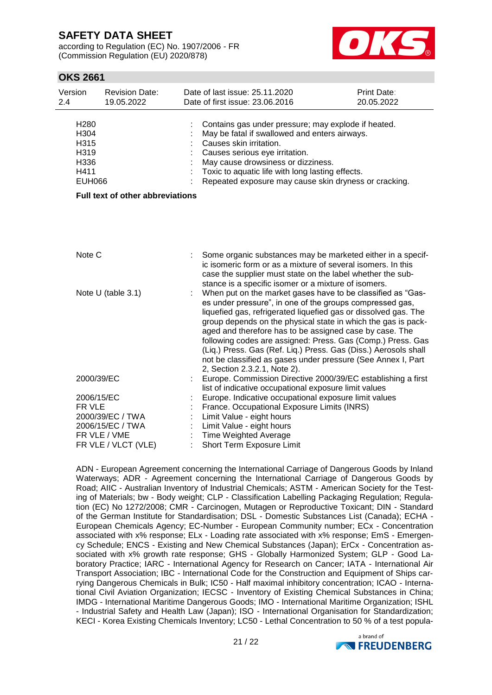according to Regulation (EC) No. 1907/2006 - FR (Commission Regulation (EU) 2020/878)



### **OKS 2661**

| Version<br>2.4                                                            | <b>Revision Date:</b><br>19.05.2022 | Date of last issue: 25.11.2020<br>Date of first issue: 23.06.2016                                                                                                                                                                                                                                                                                                                                                                                                                                                                                        | Print Date:<br>20.05.2022 |
|---------------------------------------------------------------------------|-------------------------------------|----------------------------------------------------------------------------------------------------------------------------------------------------------------------------------------------------------------------------------------------------------------------------------------------------------------------------------------------------------------------------------------------------------------------------------------------------------------------------------------------------------------------------------------------------------|---------------------------|
| H <sub>280</sub><br>H304<br>H315<br>H319<br>H336<br>H411<br><b>EUH066</b> |                                     | Contains gas under pressure; may explode if heated.<br>May be fatal if swallowed and enters airways.<br>Causes skin irritation.<br>Causes serious eye irritation.<br>May cause drowsiness or dizziness.<br>Toxic to aquatic life with long lasting effects.<br>Repeated exposure may cause skin dryness or cracking.                                                                                                                                                                                                                                     |                           |
|                                                                           | Full text of other abbreviations    |                                                                                                                                                                                                                                                                                                                                                                                                                                                                                                                                                          |                           |
|                                                                           |                                     |                                                                                                                                                                                                                                                                                                                                                                                                                                                                                                                                                          |                           |
| Note C                                                                    |                                     | Some organic substances may be marketed either in a specif-<br>ic isomeric form or as a mixture of several isomers. In this<br>case the supplier must state on the label whether the sub-<br>stance is a specific isomer or a mixture of isomers.                                                                                                                                                                                                                                                                                                        |                           |
|                                                                           | Note U (table 3.1)                  | When put on the market gases have to be classified as "Gas-<br>es under pressure", in one of the groups compressed gas,<br>liquefied gas, refrigerated liquefied gas or dissolved gas. The<br>group depends on the physical state in which the gas is pack-<br>aged and therefore has to be assigned case by case. The<br>following codes are assigned: Press. Gas (Comp.) Press. Gas<br>(Liq.) Press. Gas (Ref. Liq.) Press. Gas (Diss.) Aerosols shall<br>not be classified as gases under pressure (See Annex I, Part<br>2, Section 2.3.2.1, Note 2). |                           |
|                                                                           | 2000/39/EC                          | Europe. Commission Directive 2000/39/EC establishing a first<br>list of indicative occupational exposure limit values                                                                                                                                                                                                                                                                                                                                                                                                                                    |                           |
|                                                                           | 2006/15/EC                          | Europe. Indicative occupational exposure limit values                                                                                                                                                                                                                                                                                                                                                                                                                                                                                                    |                           |
| FR VLE                                                                    |                                     | France. Occupational Exposure Limits (INRS)                                                                                                                                                                                                                                                                                                                                                                                                                                                                                                              |                           |
|                                                                           | 2000/39/EC / TWA                    | Limit Value - eight hours                                                                                                                                                                                                                                                                                                                                                                                                                                                                                                                                |                           |
|                                                                           | 2006/15/EC / TWA                    | Limit Value - eight hours                                                                                                                                                                                                                                                                                                                                                                                                                                                                                                                                |                           |
|                                                                           | FR VLE / VME                        | <b>Time Weighted Average</b>                                                                                                                                                                                                                                                                                                                                                                                                                                                                                                                             |                           |
|                                                                           | FR VLE / VLCT (VLE)                 | Short Term Exposure Limit                                                                                                                                                                                                                                                                                                                                                                                                                                                                                                                                |                           |

ADN - European Agreement concerning the International Carriage of Dangerous Goods by Inland Waterways; ADR - Agreement concerning the International Carriage of Dangerous Goods by Road; AIIC - Australian Inventory of Industrial Chemicals; ASTM - American Society for the Testing of Materials; bw - Body weight; CLP - Classification Labelling Packaging Regulation; Regulation (EC) No 1272/2008; CMR - Carcinogen, Mutagen or Reproductive Toxicant; DIN - Standard of the German Institute for Standardisation; DSL - Domestic Substances List (Canada); ECHA - European Chemicals Agency; EC-Number - European Community number; ECx - Concentration associated with x% response; ELx - Loading rate associated with x% response; EmS - Emergency Schedule; ENCS - Existing and New Chemical Substances (Japan); ErCx - Concentration associated with x% growth rate response; GHS - Globally Harmonized System; GLP - Good Laboratory Practice; IARC - International Agency for Research on Cancer; IATA - International Air Transport Association; IBC - International Code for the Construction and Equipment of Ships carrying Dangerous Chemicals in Bulk; IC50 - Half maximal inhibitory concentration; ICAO - International Civil Aviation Organization; IECSC - Inventory of Existing Chemical Substances in China; IMDG - International Maritime Dangerous Goods; IMO - International Maritime Organization; ISHL - Industrial Safety and Health Law (Japan); ISO - International Organisation for Standardization; KECI - Korea Existing Chemicals Inventory; LC50 - Lethal Concentration to 50 % of a test popula-